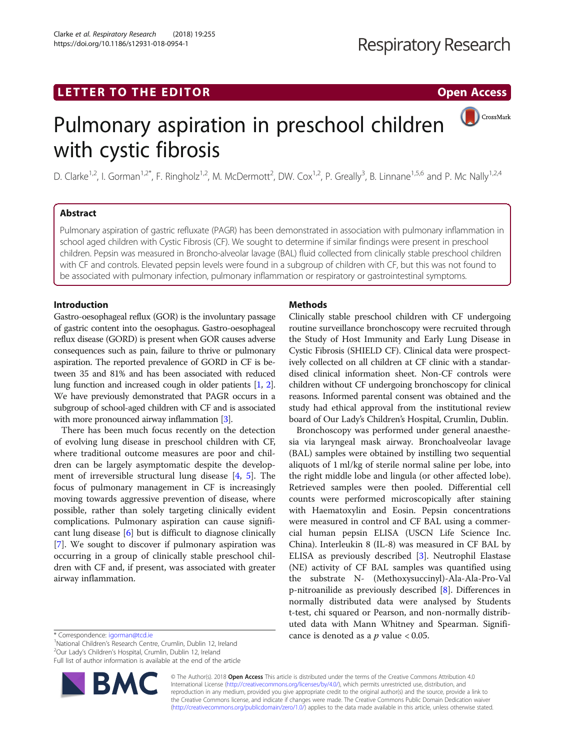## LETTER TO THE EDITOR **CONSIDERING A CONSIDERATION**

CrossMark

# Pulmonary aspiration in preschool children with cystic fibrosis

D. Clarke<sup>1,2</sup>, I. Gorman<sup>1,2\*</sup>, F. Ringholz<sup>1,2</sup>, M. McDermott<sup>2</sup>, DW. Cox<sup>1,2</sup>, P. Greally<sup>3</sup>, B. Linnane<sup>1,5,6</sup> and P. Mc Nally<sup>1,2,4</sup>

## Abstract

Pulmonary aspiration of gastric refluxate (PAGR) has been demonstrated in association with pulmonary inflammation in school aged children with Cystic Fibrosis (CF). We sought to determine if similar findings were present in preschool children. Pepsin was measured in Broncho-alveolar lavage (BAL) fluid collected from clinically stable preschool children with CF and controls. Elevated pepsin levels were found in a subgroup of children with CF, but this was not found to be associated with pulmonary infection, pulmonary inflammation or respiratory or gastrointestinal symptoms.

## Introduction

Gastro-oesophageal reflux (GOR) is the involuntary passage of gastric content into the oesophagus. Gastro-oesophageal reflux disease (GORD) is present when GOR causes adverse consequences such as pain, failure to thrive or pulmonary aspiration. The reported prevalence of GORD in CF is between 35 and 81% and has been associated with reduced lung function and increased cough in older patients [[1](#page-2-0), [2](#page-2-0)]. We have previously demonstrated that PAGR occurs in a subgroup of school-aged children with CF and is associated with more pronounced airway inflammation [[3](#page-2-0)].

There has been much focus recently on the detection of evolving lung disease in preschool children with CF, where traditional outcome measures are poor and children can be largely asymptomatic despite the development of irreversible structural lung disease [[4,](#page-2-0) [5](#page-2-0)]. The focus of pulmonary management in CF is increasingly moving towards aggressive prevention of disease, where possible, rather than solely targeting clinically evident complications. Pulmonary aspiration can cause significant lung disease [[6\]](#page-2-0) but is difficult to diagnose clinically [[7\]](#page-2-0). We sought to discover if pulmonary aspiration was occurring in a group of clinically stable preschool children with CF and, if present, was associated with greater airway inflammation.

\* Correspondence: [igorman@tcd.ie](mailto:igorman@tcd.ie)<br><sup>1</sup>National Children's Research Centre, Crumlin, Dublin 12, Ireland **2008 - Cance is denoted as a p value < 0.05.**<br><sup>2</sup>Our Ladv's Children's Hospital Crumlin, Dublin 12, Ireland

<sup>2</sup>Our Lady's Children's Hospital, Crumlin, Dublin 12, Ireland

Full list of author information is available at the end of the article



## Methods

Clinically stable preschool children with CF undergoing routine surveillance bronchoscopy were recruited through the Study of Host Immunity and Early Lung Disease in Cystic Fibrosis (SHIELD CF). Clinical data were prospectively collected on all children at CF clinic with a standardised clinical information sheet. Non-CF controls were children without CF undergoing bronchoscopy for clinical reasons. Informed parental consent was obtained and the study had ethical approval from the institutional review board of Our Lady's Children's Hospital, Crumlin, Dublin.

Bronchoscopy was performed under general anaesthesia via laryngeal mask airway. Bronchoalveolar lavage (BAL) samples were obtained by instilling two sequential aliquots of 1 ml/kg of sterile normal saline per lobe, into the right middle lobe and lingula (or other affected lobe). Retrieved samples were then pooled. Differential cell counts were performed microscopically after staining with Haematoxylin and Eosin. Pepsin concentrations were measured in control and CF BAL using a commercial human pepsin ELISA (USCN Life Science Inc. China). Interleukin 8 (IL-8) was measured in CF BAL by ELISA as previously described [[3\]](#page-2-0). Neutrophil Elastase (NE) activity of CF BAL samples was quantified using the substrate N- (Methoxysuccinyl)-Ala-Ala-Pro-Val p-nitroanilide as previously described [\[8](#page-2-0)]. Differences in normally distributed data were analysed by Students t-test, chi squared or Pearson, and non-normally distributed data with Mann Whitney and Spearman. Signifi-

© The Author(s). 2018 Open Access This article is distributed under the terms of the Creative Commons Attribution 4.0 International License [\(http://creativecommons.org/licenses/by/4.0/](http://creativecommons.org/licenses/by/4.0/)), which permits unrestricted use, distribution, and reproduction in any medium, provided you give appropriate credit to the original author(s) and the source, provide a link to the Creative Commons license, and indicate if changes were made. The Creative Commons Public Domain Dedication waiver [\(http://creativecommons.org/publicdomain/zero/1.0/](http://creativecommons.org/publicdomain/zero/1.0/)) applies to the data made available in this article, unless otherwise stated.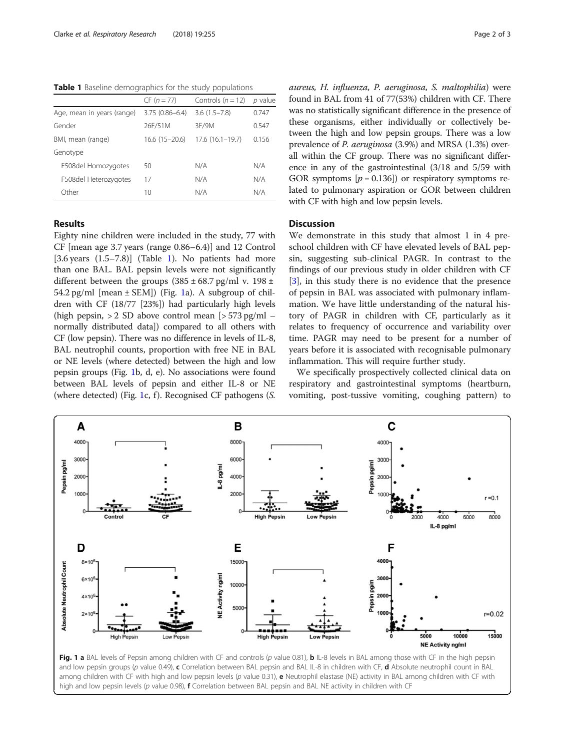Table 1 Baseline demographics for the study populations

|                            | $CF (n = 77)$      | Controls $(n = 12)$ | p value |
|----------------------------|--------------------|---------------------|---------|
| Age, mean in years (range) | $3.75(0.86 - 6.4)$ | $3.6(1.5 - 7.8)$    | 0.747   |
| Gender                     | 26F/51M            | 3F/9M               | 0.547   |
| BMI, mean (range)          | $16.6(15-20.6)$    | $17.6(16.1-19.7)$   | 0.156   |
| Genotype                   |                    |                     |         |
| F508del Homozygotes        | 50                 | N/A                 | N/A     |
| F508del Heterozygotes      | 17                 | N/A                 | N/A     |
| Other                      | 10                 | N/A                 | N/A     |

## Results

Eighty nine children were included in the study, 77 with CF [mean age 3.7 years (range 0.86–6.4)] and 12 Control  $[3.6 \text{ years } (1.5-7.8)]$  (Table 1). No patients had more than one BAL. BAL pepsin levels were not significantly different between the groups  $(385 \pm 68.7 \text{ pg/ml v. } 198 \pm 1)$ 54.2 pg/ml  $[mean \pm SEM]$ ) (Fig. 1a). A subgroup of children with CF (18/77 [23%]) had particularly high levels (high pepsin,  $> 2$  SD above control mean  $\left[ > 573 \text{ pg/ml} \right]$ normally distributed data]) compared to all others with CF (low pepsin). There was no difference in levels of IL-8, BAL neutrophil counts, proportion with free NE in BAL or NE levels (where detected) between the high and low pepsin groups (Fig. 1b, d, e). No associations were found between BAL levels of pepsin and either IL-8 or NE (where detected) (Fig. 1c, f). Recognised CF pathogens  $(S, \mathcal{L})$  aureus, H. influenza, P. aeruginosa, S. maltophilia) were found in BAL from 41 of 77(53%) children with CF. There was no statistically significant difference in the presence of these organisms, either individually or collectively between the high and low pepsin groups. There was a low prevalence of P. aeruginosa (3.9%) and MRSA (1.3%) overall within the CF group. There was no significant difference in any of the gastrointestinal (3/18 and 5/59 with GOR symptoms  $[p = 0.136]$  or respiratory symptoms related to pulmonary aspiration or GOR between children with CF with high and low pepsin levels.

### **Discussion**

We demonstrate in this study that almost 1 in 4 preschool children with CF have elevated levels of BAL pepsin, suggesting sub-clinical PAGR. In contrast to the findings of our previous study in older children with CF [[3\]](#page-2-0), in this study there is no evidence that the presence of pepsin in BAL was associated with pulmonary inflammation. We have little understanding of the natural history of PAGR in children with CF, particularly as it relates to frequency of occurrence and variability over time. PAGR may need to be present for a number of years before it is associated with recognisable pulmonary inflammation. This will require further study.

We specifically prospectively collected clinical data on respiratory and gastrointestinal symptoms (heartburn, vomiting, post-tussive vomiting, coughing pattern) to